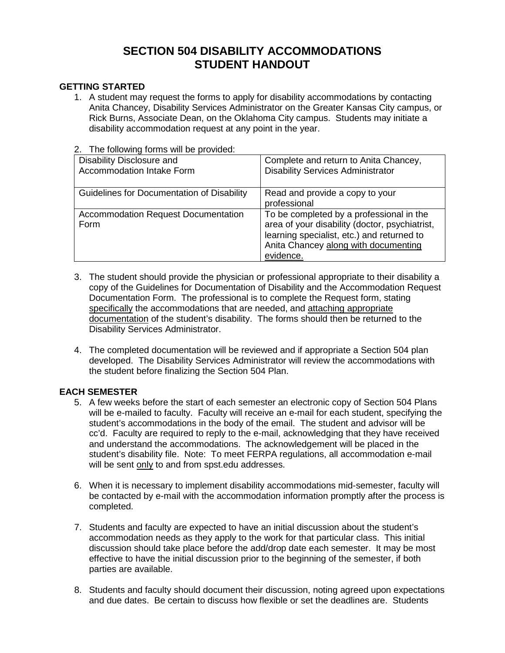# **SECTION 504 DISABILITY ACCOMMODATIONS STUDENT HANDOUT**

## **GETTING STARTED**

1. A student may request the forms to apply for disability accommodations by contacting Anita Chancey, Disability Services Administrator on the Greater Kansas City campus, or Rick Burns, Associate Dean, on the Oklahoma City campus. Students may initiate a disability accommodation request at any point in the year.

# 2. The following forms will be provided:

| Disability Disclosure and                  | Complete and return to Anita Chancey,          |
|--------------------------------------------|------------------------------------------------|
| Accommodation Intake Form                  | <b>Disability Services Administrator</b>       |
|                                            |                                                |
| Guidelines for Documentation of Disability | Read and provide a copy to your                |
|                                            | professional                                   |
| <b>Accommodation Request Documentation</b> | To be completed by a professional in the       |
| Form                                       | area of your disability (doctor, psychiatrist, |
|                                            | learning specialist, etc.) and returned to     |
|                                            | Anita Chancey along with documenting           |
|                                            | evidence.                                      |

- 3. The student should provide the physician or professional appropriate to their disability a copy of the Guidelines for Documentation of Disability and the Accommodation Request Documentation Form. The professional is to complete the Request form, stating specifically the accommodations that are needed, and attaching appropriate documentation of the student's disability. The forms should then be returned to the Disability Services Administrator.
- 4. The completed documentation will be reviewed and if appropriate a Section 504 plan developed. The Disability Services Administrator will review the accommodations with the student before finalizing the Section 504 Plan.

### **EACH SEMESTER**

- 5. A few weeks before the start of each semester an electronic copy of Section 504 Plans will be e-mailed to faculty. Faculty will receive an e-mail for each student, specifying the student's accommodations in the body of the email. The student and advisor will be cc'd. Faculty are required to reply to the e-mail, acknowledging that they have received and understand the accommodations. The acknowledgement will be placed in the student's disability file. Note: To meet FERPA regulations, all accommodation e-mail will be sent only to and from spst.edu addresses.
- 6. When it is necessary to implement disability accommodations mid-semester, faculty will be contacted by e-mail with the accommodation information promptly after the process is completed.
- 7. Students and faculty are expected to have an initial discussion about the student's accommodation needs as they apply to the work for that particular class. This initial discussion should take place before the add/drop date each semester. It may be most effective to have the initial discussion prior to the beginning of the semester, if both parties are available.
- 8. Students and faculty should document their discussion, noting agreed upon expectations and due dates. Be certain to discuss how flexible or set the deadlines are. Students